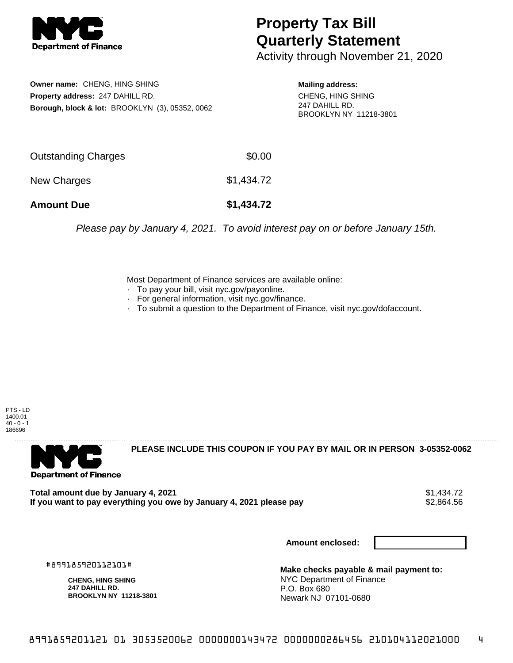

## **Property Tax Bill Quarterly Statement**

Activity through November 21, 2020

**Owner name:** CHENG, HING SHING **Property address:** 247 DAHILL RD. **Borough, block & lot:** BROOKLYN (3), 05352, 0062

**Mailing address:** CHENG, HING SHING 247 DAHILL RD. BROOKLYN NY 11218-3801

| <b>Amount Due</b>   | \$1,434.72 |
|---------------------|------------|
| New Charges         | \$1,434.72 |
| Outstanding Charges | \$0.00     |

Please pay by January 4, 2021. To avoid interest pay on or before January 15th.

Most Department of Finance services are available online:

- · To pay your bill, visit nyc.gov/payonline.
- For general information, visit nyc.gov/finance.
- · To submit a question to the Department of Finance, visit nyc.gov/dofaccount.

PTS - LD 1400.01  $40 - 0 - 1$ 186696



**PLEASE INCLUDE THIS COUPON IF YOU PAY BY MAIL OR IN PERSON 3-05352-0062** 

Total amount due by January 4, 2021<br>If you want to pay everything you owe by January 4, 2021 please pay **show that the set of the set of the set of** If you want to pay everything you owe by January 4, 2021 please pay

**Amount enclosed:**

#899185920112101#

**CHENG, HING SHING 247 DAHILL RD. BROOKLYN NY 11218-3801**

**Make checks payable & mail payment to:** NYC Department of Finance P.O. Box 680 Newark NJ 07101-0680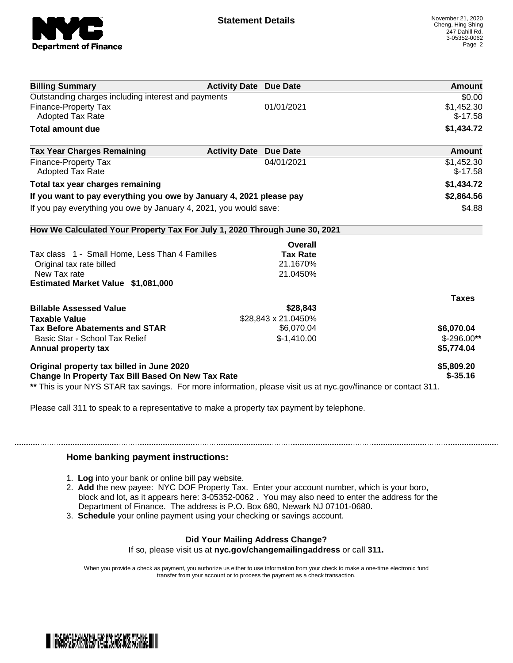

| <b>Billing Summary</b>                                                                                         | <b>Activity Date Due Date</b>           | Amount        |
|----------------------------------------------------------------------------------------------------------------|-----------------------------------------|---------------|
| Outstanding charges including interest and payments                                                            |                                         | \$0.00        |
| <b>Finance-Property Tax</b>                                                                                    | 01/01/2021                              | \$1,452.30    |
| Adopted Tax Rate                                                                                               |                                         | $$-17.58$     |
| <b>Total amount due</b>                                                                                        |                                         | \$1,434.72    |
| <b>Tax Year Charges Remaining</b>                                                                              | <b>Activity Date</b><br><b>Due Date</b> | <b>Amount</b> |
| <b>Finance-Property Tax</b>                                                                                    | 04/01/2021                              | \$1,452.30    |
| <b>Adopted Tax Rate</b>                                                                                        |                                         | $$-17.58$     |
| Total tax year charges remaining                                                                               |                                         | \$1,434.72    |
| If you want to pay everything you owe by January 4, 2021 please pay                                            |                                         | \$2,864.56    |
| If you pay everything you owe by January 4, 2021, you would save:                                              |                                         | \$4.88        |
| How We Calculated Your Property Tax For July 1, 2020 Through June 30, 2021                                     |                                         |               |
|                                                                                                                | Overall                                 |               |
| Tax class 1 - Small Home, Less Than 4 Families                                                                 | <b>Tax Rate</b>                         |               |
| Original tax rate billed                                                                                       | 21.1670%                                |               |
| New Tax rate                                                                                                   | 21.0450%                                |               |
| Estimated Market Value \$1,081,000                                                                             |                                         |               |
|                                                                                                                |                                         | <b>Taxes</b>  |
| <b>Billable Assessed Value</b>                                                                                 | \$28,843                                |               |
| <b>Taxable Value</b>                                                                                           | \$28,843 x 21.0450%                     |               |
| <b>Tax Before Abatements and STAR</b>                                                                          | \$6,070.04                              | \$6,070.04    |
| Basic Star - School Tax Relief                                                                                 | $$-1,410.00$                            | $$-296.00**$  |
| Annual property tax                                                                                            |                                         | \$5,774.04    |
| Original property tax billed in June 2020                                                                      |                                         | \$5,809.20    |
| Change In Property Tax Bill Based On New Tax Rate                                                              |                                         | $$ -35.16$    |
| ** This is your NYS STAR tax savings. For more information, please visit us at nyc.gov/finance or contact 311. |                                         |               |

Please call 311 to speak to a representative to make a property tax payment by telephone.

## **Home banking payment instructions:**

- 1. **Log** into your bank or online bill pay website.
- 2. **Add** the new payee: NYC DOF Property Tax. Enter your account number, which is your boro, block and lot, as it appears here: 3-05352-0062 . You may also need to enter the address for the Department of Finance. The address is P.O. Box 680, Newark NJ 07101-0680.
- 3. **Schedule** your online payment using your checking or savings account.

## **Did Your Mailing Address Change?**

If so, please visit us at **nyc.gov/changemailingaddress** or call **311.**

When you provide a check as payment, you authorize us either to use information from your check to make a one-time electronic fund transfer from your account or to process the payment as a check transaction.